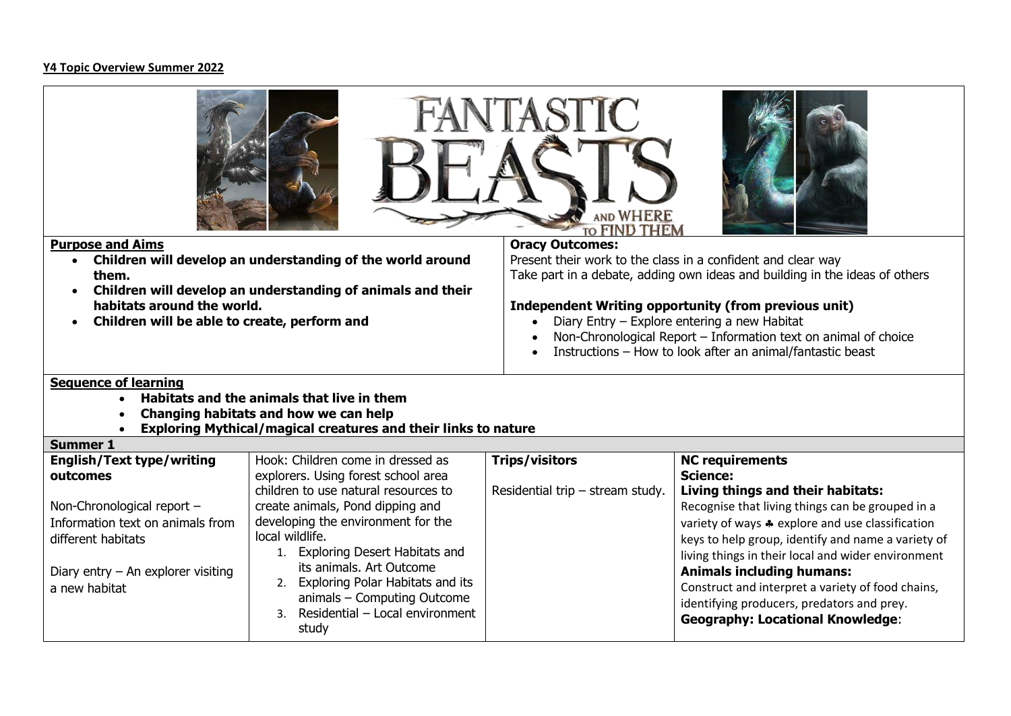## **Y4 Topic Overview Summer 2022**

| VIASFIC<br>AND WHERE<br><b>TO FIND THEM</b>                                                                                                                                                 |                                                                                                                                                                                                                                                                                |                                                                                                                                                                                                                                                                                                                                                                                                                |                                                                                                                                                                                                                                                                                                                                                                                                    |  |  |  |  |  |
|---------------------------------------------------------------------------------------------------------------------------------------------------------------------------------------------|--------------------------------------------------------------------------------------------------------------------------------------------------------------------------------------------------------------------------------------------------------------------------------|----------------------------------------------------------------------------------------------------------------------------------------------------------------------------------------------------------------------------------------------------------------------------------------------------------------------------------------------------------------------------------------------------------------|----------------------------------------------------------------------------------------------------------------------------------------------------------------------------------------------------------------------------------------------------------------------------------------------------------------------------------------------------------------------------------------------------|--|--|--|--|--|
| <b>Purpose and Aims</b><br>$\bullet$<br>them.<br>habitats around the world.<br>Children will be able to create, perform and                                                                 | Children will develop an understanding of the world around<br>Children will develop an understanding of animals and their                                                                                                                                                      | <b>Oracy Outcomes:</b><br>Present their work to the class in a confident and clear way<br>Take part in a debate, adding own ideas and building in the ideas of others<br>Independent Writing opportunity (from previous unit)<br>Diary Entry - Explore entering a new Habitat<br>Non-Chronological Report - Information text on animal of choice<br>Instructions - How to look after an animal/fantastic beast |                                                                                                                                                                                                                                                                                                                                                                                                    |  |  |  |  |  |
| <b>Sequence of learning</b><br>Habitats and the animals that live in them<br>Changing habitats and how we can help<br><b>Exploring Mythical/magical creatures and their links to nature</b> |                                                                                                                                                                                                                                                                                |                                                                                                                                                                                                                                                                                                                                                                                                                |                                                                                                                                                                                                                                                                                                                                                                                                    |  |  |  |  |  |
| <b>Summer 1</b>                                                                                                                                                                             |                                                                                                                                                                                                                                                                                |                                                                                                                                                                                                                                                                                                                                                                                                                |                                                                                                                                                                                                                                                                                                                                                                                                    |  |  |  |  |  |
| <b>English/Text type/writing</b><br>outcomes                                                                                                                                                | Hook: Children come in dressed as<br>explorers. Using forest school area<br>children to use natural resources to                                                                                                                                                               | <b>Trips/visitors</b><br>Residential trip - stream study.                                                                                                                                                                                                                                                                                                                                                      | <b>NC requirements</b><br><b>Science:</b><br>Living things and their habitats:                                                                                                                                                                                                                                                                                                                     |  |  |  |  |  |
| Non-Chronological report -<br>Information text on animals from<br>different habitats<br>Diary entry $-$ An explorer visiting<br>a new habitat                                               | create animals, Pond dipping and<br>developing the environment for the<br>local wildlife.<br>1. Exploring Desert Habitats and<br>its animals. Art Outcome<br>2. Exploring Polar Habitats and its<br>animals - Computing Outcome<br>3. Residential - Local environment<br>study |                                                                                                                                                                                                                                                                                                                                                                                                                | Recognise that living things can be grouped in a<br>variety of ways * explore and use classification<br>keys to help group, identify and name a variety of<br>living things in their local and wider environment<br><b>Animals including humans:</b><br>Construct and interpret a variety of food chains,<br>identifying producers, predators and prey.<br><b>Geography: Locational Knowledge:</b> |  |  |  |  |  |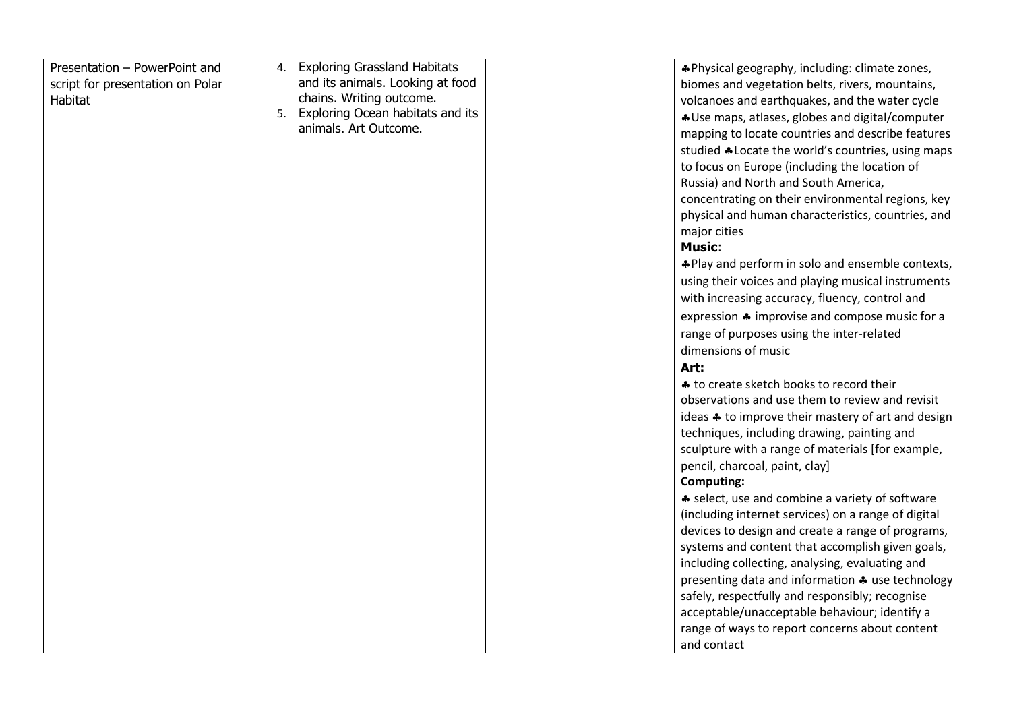| Presentation - PowerPoint and    | 4. | <b>Exploring Grassland Habitats</b>                          |  | *Physical geography, including: climate zones,      |
|----------------------------------|----|--------------------------------------------------------------|--|-----------------------------------------------------|
| script for presentation on Polar |    | and its animals. Looking at food                             |  | biomes and vegetation belts, rivers, mountains,     |
| Habitat                          |    | chains. Writing outcome.                                     |  | volcanoes and earthquakes, and the water cycle      |
|                                  |    | 5. Exploring Ocean habitats and its<br>animals. Art Outcome. |  | * Use maps, atlases, globes and digital/computer    |
|                                  |    |                                                              |  | mapping to locate countries and describe features   |
|                                  |    |                                                              |  | studied *Locate the world's countries, using maps   |
|                                  |    |                                                              |  | to focus on Europe (including the location of       |
|                                  |    |                                                              |  | Russia) and North and South America,                |
|                                  |    |                                                              |  | concentrating on their environmental regions, key   |
|                                  |    |                                                              |  | physical and human characteristics, countries, and  |
|                                  |    |                                                              |  | major cities                                        |
|                                  |    |                                                              |  | <b>Music:</b>                                       |
|                                  |    |                                                              |  | *Play and perform in solo and ensemble contexts,    |
|                                  |    |                                                              |  | using their voices and playing musical instruments  |
|                                  |    |                                                              |  | with increasing accuracy, fluency, control and      |
|                                  |    |                                                              |  | expression * improvise and compose music for a      |
|                                  |    |                                                              |  | range of purposes using the inter-related           |
|                                  |    |                                                              |  | dimensions of music                                 |
|                                  |    |                                                              |  | Art:                                                |
|                                  |    |                                                              |  | ♣ to create sketch books to record their            |
|                                  |    |                                                              |  | observations and use them to review and revisit     |
|                                  |    |                                                              |  | ideas * to improve their mastery of art and design  |
|                                  |    |                                                              |  | techniques, including drawing, painting and         |
|                                  |    |                                                              |  | sculpture with a range of materials [for example,   |
|                                  |    |                                                              |  | pencil, charcoal, paint, clay]                      |
|                                  |    |                                                              |  | <b>Computing:</b>                                   |
|                                  |    |                                                              |  | * select, use and combine a variety of software     |
|                                  |    |                                                              |  | (including internet services) on a range of digital |
|                                  |    |                                                              |  | devices to design and create a range of programs,   |
|                                  |    |                                                              |  | systems and content that accomplish given goals,    |
|                                  |    |                                                              |  | including collecting, analysing, evaluating and     |
|                                  |    |                                                              |  | presenting data and information * use technology    |
|                                  |    |                                                              |  | safely, respectfully and responsibly; recognise     |
|                                  |    |                                                              |  | acceptable/unacceptable behaviour; identify a       |
|                                  |    |                                                              |  | range of ways to report concerns about content      |
|                                  |    |                                                              |  | and contact                                         |